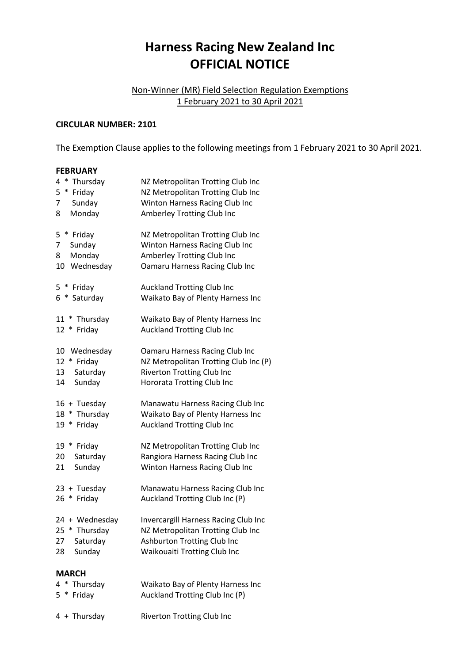## **Harness Racing New Zealand Inc OFFICIAL NOTICE**

## Non-Winner (MR) Field Selection Regulation Exemptions 1 February 2021 to 30 April 2021

## **CIRCULAR NUMBER: 2101**

The Exemption Clause applies to the following meetings from 1 February 2021 to 30 April 2021.

## **FEBRUARY**

| $\ast$<br>4<br>Thursday                            | NZ Metropolitan Trotting Club Inc                                      |
|----------------------------------------------------|------------------------------------------------------------------------|
| 5<br>$\ast$<br>Friday                              | NZ Metropolitan Trotting Club Inc                                      |
| 7<br>Sunday                                        | Winton Harness Racing Club Inc                                         |
| Monday<br>8                                        | Amberley Trotting Club Inc                                             |
| $\ast$<br>5<br>Friday                              | NZ Metropolitan Trotting Club Inc                                      |
| 7<br>Sunday                                        | Winton Harness Racing Club Inc                                         |
| Monday<br>8                                        | Amberley Trotting Club Inc                                             |
| Wednesday<br>10                                    | Oamaru Harness Racing Club Inc                                         |
| $5*$<br>Friday                                     | <b>Auckland Trotting Club Inc</b>                                      |
| 6<br>$\ast$<br>Saturday                            | Waikato Bay of Plenty Harness Inc                                      |
| $\ast$<br>Thursday<br>11<br>Friday<br>12<br>$\ast$ | Waikato Bay of Plenty Harness Inc<br><b>Auckland Trotting Club Inc</b> |
| 10<br>Wednesday                                    | Oamaru Harness Racing Club Inc                                         |
| * Friday<br>12                                     | NZ Metropolitan Trotting Club Inc (P)                                  |
| Saturday<br>13                                     | <b>Riverton Trotting Club Inc</b>                                      |
| Sunday<br>14                                       | Hororata Trotting Club Inc                                             |
| 16 + Tuesday                                       | Manawatu Harness Racing Club Inc                                       |
| 18<br>* Thursday                                   | Waikato Bay of Plenty Harness Inc                                      |
| * Friday<br>19                                     | <b>Auckland Trotting Club Inc</b>                                      |
| 19 * Friday                                        | NZ Metropolitan Trotting Club Inc                                      |
| 20<br>Saturday                                     | Rangiora Harness Racing Club Inc                                       |
| Sunday<br>21                                       | Winton Harness Racing Club Inc                                         |
| 23 + Tuesday                                       | Manawatu Harness Racing Club Inc                                       |
| 26 *<br>Friday                                     | Auckland Trotting Club Inc (P)                                         |
| 24 + Wednesday                                     | Invercargill Harness Racing Club Inc                                   |
| 25 * Thursday                                      | NZ Metropolitan Trotting Club Inc                                      |
| 27<br>Saturday                                     | Ashburton Trotting Club Inc                                            |
| Sunday<br>28                                       | <b>Waikouaiti Trotting Club Inc</b>                                    |
| <b>MARCH</b>                                       |                                                                        |
| ∗<br>Thursday<br>4                                 | Waikato Bay of Plenty Harness Inc                                      |
| 5<br>∗<br>Friday                                   | Auckland Trotting Club Inc (P)                                         |

4 + Thursday Riverton Trotting Club Inc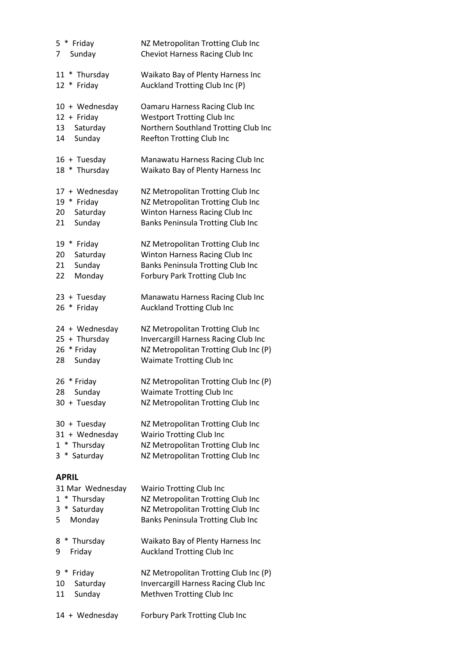| 5 * Friday<br>Sunday<br>7    | NZ Metropolitan Trotting Club Inc<br>Cheviot Harness Racing Club Inc   |
|------------------------------|------------------------------------------------------------------------|
| 11 * Thursday<br>12 * Friday | Waikato Bay of Plenty Harness Inc<br>Auckland Trotting Club Inc (P)    |
| 10 + Wednesday               | Oamaru Harness Racing Club Inc                                         |
| 12 + Friday                  | <b>Westport Trotting Club Inc</b>                                      |
| Saturday<br>13               | Northern Southland Trotting Club Inc                                   |
| Sunday<br>14                 | <b>Reefton Trotting Club Inc</b>                                       |
| 16 + Tuesday                 | Manawatu Harness Racing Club Inc                                       |
| 18 * Thursday                | Waikato Bay of Plenty Harness Inc                                      |
| 17 + Wednesday               | NZ Metropolitan Trotting Club Inc                                      |
| 19 * Friday                  | NZ Metropolitan Trotting Club Inc                                      |
| Saturday<br>20               | Winton Harness Racing Club Inc                                         |
| Sunday<br>21                 | Banks Peninsula Trotting Club Inc                                      |
| 19 * Friday                  | NZ Metropolitan Trotting Club Inc                                      |
| 20<br>Saturday               | Winton Harness Racing Club Inc                                         |
| Sunday<br>21                 | Banks Peninsula Trotting Club Inc                                      |
| 22<br>Monday                 | Forbury Park Trotting Club Inc                                         |
| 23 + Tuesday                 | Manawatu Harness Racing Club Inc                                       |
| 26 * Friday                  | <b>Auckland Trotting Club Inc</b>                                      |
| 24 + Wednesday               | NZ Metropolitan Trotting Club Inc                                      |
| $25 + Thursday$              | Invercargill Harness Racing Club Inc                                   |
| 26 * Friday                  | NZ Metropolitan Trotting Club Inc (P)                                  |
| Sunday<br>28                 | Waimate Trotting Club Inc                                              |
| 26 * Friday                  | NZ Metropolitan Trotting Club Inc (P)                                  |
| Sunday<br>28                 | <b>Waimate Trotting Club Inc</b>                                       |
| 30 + Tuesday                 | NZ Metropolitan Trotting Club Inc                                      |
| 30 + Tuesday                 | NZ Metropolitan Trotting Club Inc                                      |
| 31 + Wednesday               | <b>Wairio Trotting Club Inc</b>                                        |
| $1 *$ Thursday               | NZ Metropolitan Trotting Club Inc                                      |
| 3 * Saturday                 | NZ Metropolitan Trotting Club Inc                                      |
| <b>APRIL</b>                 |                                                                        |
| 31 Mar Wednesday             | <b>Wairio Trotting Club Inc</b>                                        |
| 1 * Thursday<br>* Saturday   | NZ Metropolitan Trotting Club Inc                                      |
| 3<br>Monday<br>5             | NZ Metropolitan Trotting Club Inc<br>Banks Peninsula Trotting Club Inc |
|                              |                                                                        |
| 8 * Thursday                 | Waikato Bay of Plenty Harness Inc                                      |
| Friday<br>9                  | <b>Auckland Trotting Club Inc</b>                                      |
| 9 * Friday                   | NZ Metropolitan Trotting Club Inc (P)                                  |
| Saturday<br>10               | Invercargill Harness Racing Club Inc                                   |
| Sunday<br>11                 | Methven Trotting Club Inc                                              |
| 14 + Wednesday               | Forbury Park Trotting Club Inc                                         |